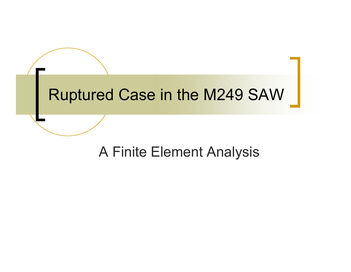## Ruptured Case in the M249 SAW

### A Finite Element Analysis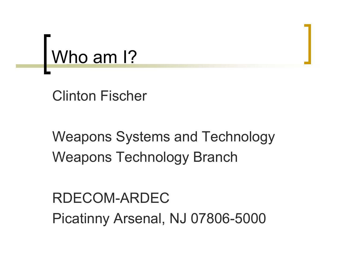

Clinton Fischer

Weapons Systems and Technology Weapons Technology Branch

RDECOM-ARDECPicatinny Arsenal, NJ 07806-5000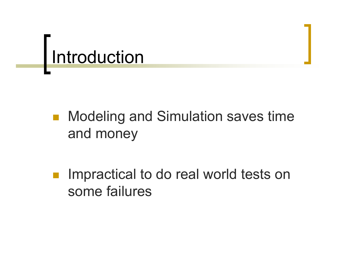## Introduction

- $\left\vert \psi _{i}\right\rangle$  Modeling and Simulation saves time and money
- p. Impractical to do real world tests on some failures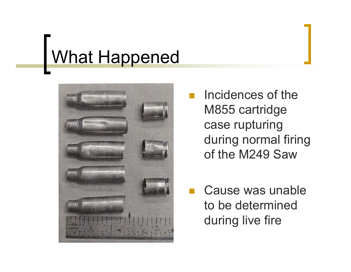# What Happened



 Incidences of the M855 cartridge case rupturing during normal firing of the M249 Saw

 Cause was unable to be determined during live fire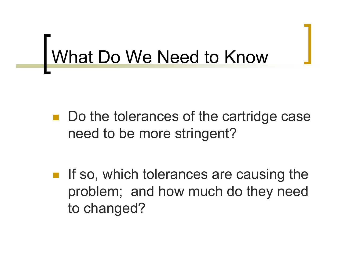## What Do We Need to Know

 Do the tolerances of the cartridge case need to be more stringent?

p. If so, which tolerances are causing the problem; and how much do they need to changed?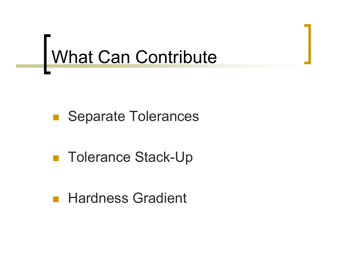# What Can Contribute

### **Separate Tolerances**

## ■ Tolerance Stack-Up

### Hardness Gradient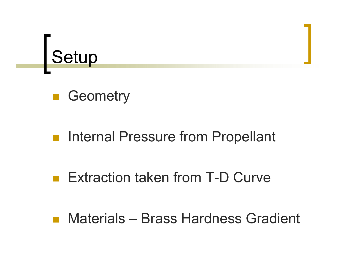

## **B** Geometry

#### $\begin{bmatrix} 1 & 1 \\ 1 & 1 \end{bmatrix}$ Internal Pressure from Propellant

#### $\mathcal{L}^{\text{max}}$ Extraction taken from T-D Curve

Materials – Brass Hardness Gradient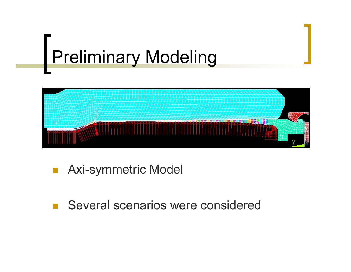# Preliminary Modeling



### Axi-symmetric Model

### Several scenarios were considered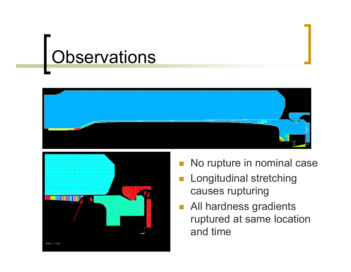## Observations





- No rupture in nominal case
- Longitudinal stretching causes rupturing
- All hardness gradients ruptured at same location and time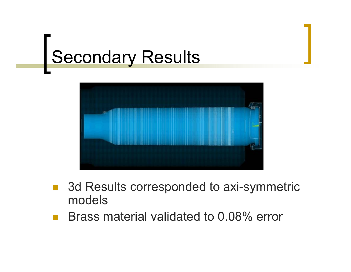## Secondary Results



- 3d Results corresponded to axi-symmetric models
- Brass material validated to 0.08% error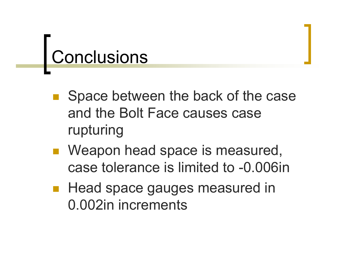## Conclusions

- Space between the back of the case and the Bolt Face causes case rupturing
- Weapon head space is measured, case tolerance is limited to -0.006in
- Head space gauges measured in 0.002in increments